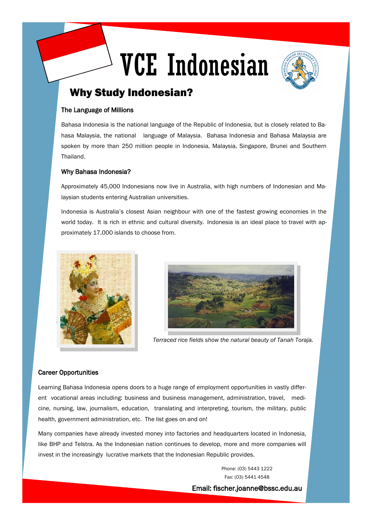# VCE Indonesian



## Why Study Indonesian?

#### The Language of Millions

Bahasa Indonesia is the national language of the Republic of Indonesia, but is closely related to Bahasa Malaysia, the national language of Malaysia. Bahasa Indonesia and Bahasa Malaysia are spoken by more than 250 million people in Indonesia, Malaysia, Singapore, Brunei and Southern Thailand.

#### Why Bahasa Indonesia?

Approximately 45,000 Indonesians now live in Australia, with high numbers of Indonesian and Malaysian students entering Australian universities.

Indonesia is Australia's closest Asian neighbour with one of the fastest growing economies in the world today. It is rich in ethnic and cultural diversity. Indonesia is an ideal place to travel with approximately 17,000 islands to choose from.





*Terraced rice fields show the natural beauty of Tanah Toraja.* 

#### Career Opportunities

Learning Bahasa Indonesia opens doors to a huge range of employment opportunities in vastly different vocational areas including: business and business management, administration, travel, medicine, nursing, law, journalism, education, translating and interpreting, tourism, the military, public health, government administration, etc. The list goes on and on!

Many companies have already invested money into factories and headquarters located in Indonesia, like BHP and Telstra. As the Indonesian nation continues to develop, more and more companies will invest in the increasingly lucrative markets that the Indonesian Republic provides.

> Phone: (03) 5443 1222 Fax: (03) 5441 4548 Email: fischer.joanne@bssc.edu.au